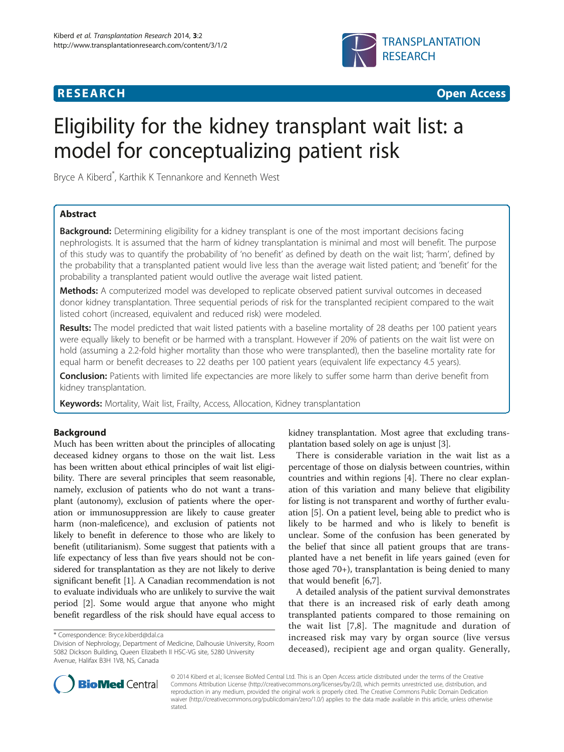

**RESEARCH CHEAR CHEAR CHEAR CHEAR CHEAR CHEAR CHEAR CHEAR CHEAR CHEAR CHEAR CHEAR CHEAR CHEAR CHEAR CHEAR CHEAR** 

# Eligibility for the kidney transplant wait list: a model for conceptualizing patient risk

Bryce A Kiberd\* , Karthik K Tennankore and Kenneth West

# Abstract

**Background:** Determining eligibility for a kidney transplant is one of the most important decisions facing nephrologists. It is assumed that the harm of kidney transplantation is minimal and most will benefit. The purpose of this study was to quantify the probability of 'no benefit' as defined by death on the wait list; 'harm', defined by the probability that a transplanted patient would live less than the average wait listed patient; and 'benefit' for the probability a transplanted patient would outlive the average wait listed patient.

**Methods:** A computerized model was developed to replicate observed patient survival outcomes in deceased donor kidney transplantation. Three sequential periods of risk for the transplanted recipient compared to the wait listed cohort (increased, equivalent and reduced risk) were modeled.

Results: The model predicted that wait listed patients with a baseline mortality of 28 deaths per 100 patient years were equally likely to benefit or be harmed with a transplant. However if 20% of patients on the wait list were on hold (assuming a 2.2-fold higher mortality than those who were transplanted), then the baseline mortality rate for equal harm or benefit decreases to 22 deaths per 100 patient years (equivalent life expectancy 4.5 years).

Conclusion: Patients with limited life expectancies are more likely to suffer some harm than derive benefit from kidney transplantation.

Keywords: Mortality, Wait list, Frailty, Access, Allocation, Kidney transplantation

# Background

Much has been written about the principles of allocating deceased kidney organs to those on the wait list. Less has been written about ethical principles of wait list eligibility. There are several principles that seem reasonable, namely, exclusion of patients who do not want a transplant (autonomy), exclusion of patients where the operation or immunosuppression are likely to cause greater harm (non-maleficence), and exclusion of patients not likely to benefit in deference to those who are likely to benefit (utilitarianism). Some suggest that patients with a life expectancy of less than five years should not be considered for transplantation as they are not likely to derive significant benefit [[1](#page-5-0)]. A Canadian recommendation is not to evaluate individuals who are unlikely to survive the wait period [[2](#page-5-0)]. Some would argue that anyone who might benefit regardless of the risk should have equal access to

kidney transplantation. Most agree that excluding transplantation based solely on age is unjust [\[3\]](#page-5-0).

There is considerable variation in the wait list as a percentage of those on dialysis between countries, within countries and within regions [[4\]](#page-5-0). There no clear explanation of this variation and many believe that eligibility for listing is not transparent and worthy of further evaluation [[5\]](#page-5-0). On a patient level, being able to predict who is likely to be harmed and who is likely to benefit is unclear. Some of the confusion has been generated by the belief that since all patient groups that are transplanted have a net benefit in life years gained (even for those aged 70+), transplantation is being denied to many that would benefit [[6,7\]](#page-5-0).

A detailed analysis of the patient survival demonstrates that there is an increased risk of early death among transplanted patients compared to those remaining on the wait list [\[7,8](#page-5-0)]. The magnitude and duration of increased risk may vary by organ source (live versus deceased), recipient age and organ quality. Generally,



© 2014 Kiberd et al.; licensee BioMed Central Ltd. This is an Open Access article distributed under the terms of the Creative Commons Attribution License [\(http://creativecommons.org/licenses/by/2.0\)](http://creativecommons.org/licenses/by/2.0), which permits unrestricted use, distribution, and reproduction in any medium, provided the original work is properly cited. The Creative Commons Public Domain Dedication waiver [\(http://creativecommons.org/publicdomain/zero/1.0/\)](http://creativecommons.org/publicdomain/zero/1.0/) applies to the data made available in this article, unless otherwise stated.

<sup>\*</sup> Correspondence: [Bryce.kiberd@dal.ca](mailto:Bryce.kiberd@dal.ca)

Division of Nephrology, Department of Medicine, Dalhousie University, Room 5082 Dickson Building, Queen Elizabeth II HSC-VG site, 5280 University Avenue, Halifax B3H 1V8, NS, Canada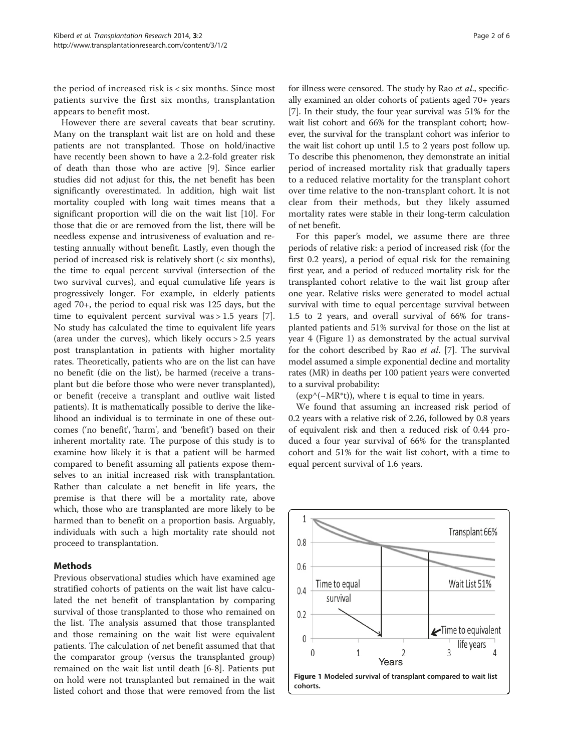<span id="page-1-0"></span>the period of increased risk is < six months. Since most patients survive the first six months, transplantation appears to benefit most.

However there are several caveats that bear scrutiny. Many on the transplant wait list are on hold and these patients are not transplanted. Those on hold/inactive have recently been shown to have a 2.2-fold greater risk of death than those who are active [[9\]](#page-5-0). Since earlier studies did not adjust for this, the net benefit has been significantly overestimated. In addition, high wait list mortality coupled with long wait times means that a significant proportion will die on the wait list [\[10](#page-5-0)]. For those that die or are removed from the list, there will be needless expense and intrusiveness of evaluation and retesting annually without benefit. Lastly, even though the period of increased risk is relatively short (< six months), the time to equal percent survival (intersection of the two survival curves), and equal cumulative life years is progressively longer. For example, in elderly patients aged 70+, the period to equal risk was 125 days, but the time to equivalent percent survival was  $> 1.5$  years [\[7](#page-5-0)]. No study has calculated the time to equivalent life years (area under the curves), which likely occurs > 2.5 years post transplantation in patients with higher mortality rates. Theoretically, patients who are on the list can have no benefit (die on the list), be harmed (receive a transplant but die before those who were never transplanted), or benefit (receive a transplant and outlive wait listed patients). It is mathematically possible to derive the likelihood an individual is to terminate in one of these outcomes ('no benefit', 'harm', and 'benefit') based on their inherent mortality rate. The purpose of this study is to examine how likely it is that a patient will be harmed compared to benefit assuming all patients expose themselves to an initial increased risk with transplantation. Rather than calculate a net benefit in life years, the premise is that there will be a mortality rate, above which, those who are transplanted are more likely to be harmed than to benefit on a proportion basis. Arguably, individuals with such a high mortality rate should not proceed to transplantation.

# Methods

Previous observational studies which have examined age stratified cohorts of patients on the wait list have calculated the net benefit of transplantation by comparing survival of those transplanted to those who remained on the list. The analysis assumed that those transplanted and those remaining on the wait list were equivalent patients. The calculation of net benefit assumed that that the comparator group (versus the transplanted group) remained on the wait list until death [\[6](#page-5-0)-[8\]](#page-5-0). Patients put on hold were not transplanted but remained in the wait listed cohort and those that were removed from the list for illness were censored. The study by Rao et al., specifically examined an older cohorts of patients aged 70+ years [[7\]](#page-5-0). In their study, the four year survival was 51% for the wait list cohort and 66% for the transplant cohort; however, the survival for the transplant cohort was inferior to the wait list cohort up until 1.5 to 2 years post follow up. To describe this phenomenon, they demonstrate an initial period of increased mortality risk that gradually tapers to a reduced relative mortality for the transplant cohort over time relative to the non-transplant cohort. It is not clear from their methods, but they likely assumed mortality rates were stable in their long-term calculation of net benefit.

For this paper's model, we assume there are three periods of relative risk: a period of increased risk (for the first 0.2 years), a period of equal risk for the remaining first year, and a period of reduced mortality risk for the transplanted cohort relative to the wait list group after one year. Relative risks were generated to model actual survival with time to equal percentage survival between 1.5 to 2 years, and overall survival of 66% for transplanted patients and 51% survival for those on the list at year 4 (Figure 1) as demonstrated by the actual survival for the cohort described by Rao et al. [[7\]](#page-5-0). The survival model assumed a simple exponential decline and mortality rates (MR) in deaths per 100 patient years were converted to a survival probability:

 $(exp^{\wedge}(-MR^*t))$ , where t is equal to time in years.

We found that assuming an increased risk period of 0.2 years with a relative risk of 2.26, followed by 0.8 years of equivalent risk and then a reduced risk of 0.44 produced a four year survival of 66% for the transplanted cohort and 51% for the wait list cohort, with a time to equal percent survival of 1.6 years.

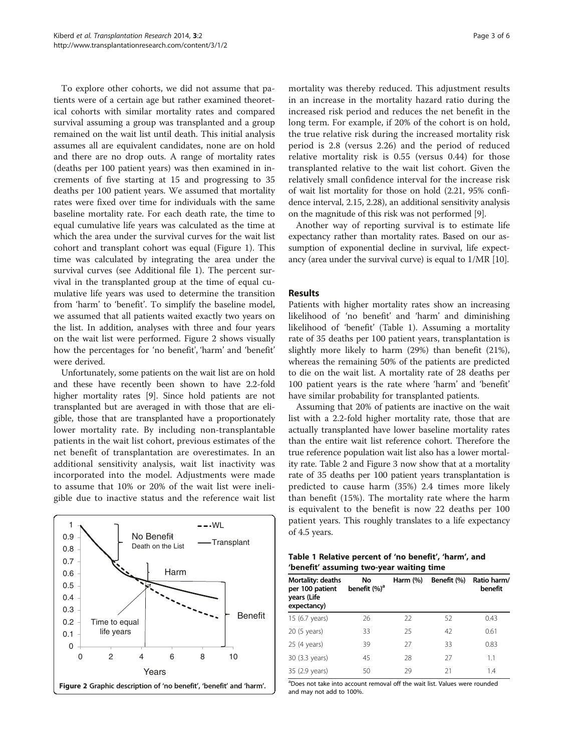To explore other cohorts, we did not assume that patients were of a certain age but rather examined theoretical cohorts with similar mortality rates and compared survival assuming a group was transplanted and a group remained on the wait list until death. This initial analysis assumes all are equivalent candidates, none are on hold and there are no drop outs. A range of mortality rates (deaths per 100 patient years) was then examined in increments of five starting at 15 and progressing to 35 deaths per 100 patient years. We assumed that mortality rates were fixed over time for individuals with the same baseline mortality rate. For each death rate, the time to equal cumulative life years was calculated as the time at which the area under the survival curves for the wait list cohort and transplant cohort was equal (Figure [1](#page-1-0)). This time was calculated by integrating the area under the survival curves (see Additional file [1](#page-5-0)). The percent survival in the transplanted group at the time of equal cumulative life years was used to determine the transition from 'harm' to 'benefit'. To simplify the baseline model, we assumed that all patients waited exactly two years on the list. In addition, analyses with three and four years on the wait list were performed. Figure 2 shows visually how the percentages for 'no benefit', 'harm' and 'benefit' were derived.

Unfortunately, some patients on the wait list are on hold and these have recently been shown to have 2.2-fold higher mortality rates [\[9\]](#page-5-0). Since hold patients are not transplanted but are averaged in with those that are eligible, those that are transplanted have a proportionately lower mortality rate. By including non-transplantable patients in the wait list cohort, previous estimates of the net benefit of transplantation are overestimates. In an additional sensitivity analysis, wait list inactivity was incorporated into the model. Adjustments were made to assume that 10% or 20% of the wait list were ineligible due to inactive status and the reference wait list



mortality was thereby reduced. This adjustment results in an increase in the mortality hazard ratio during the increased risk period and reduces the net benefit in the long term. For example, if 20% of the cohort is on hold, the true relative risk during the increased mortality risk period is 2.8 (versus 2.26) and the period of reduced relative mortality risk is 0.55 (versus 0.44) for those transplanted relative to the wait list cohort. Given the relatively small confidence interval for the increase risk of wait list mortality for those on hold (2.21, 95% confidence interval, 2.15, 2.28), an additional sensitivity analysis on the magnitude of this risk was not performed [[9\]](#page-5-0).

Another way of reporting survival is to estimate life expectancy rather than mortality rates. Based on our assumption of exponential decline in survival, life expectancy (area under the survival curve) is equal to 1/MR [\[10\]](#page-5-0).

# Results

Patients with higher mortality rates show an increasing likelihood of 'no benefit' and 'harm' and diminishing likelihood of 'benefit' (Table 1). Assuming a mortality rate of 35 deaths per 100 patient years, transplantation is slightly more likely to harm (29%) than benefit (21%), whereas the remaining 50% of the patients are predicted to die on the wait list. A mortality rate of 28 deaths per 100 patient years is the rate where 'harm' and 'benefit' have similar probability for transplanted patients.

Assuming that 20% of patients are inactive on the wait list with a 2.2-fold higher mortality rate, those that are actually transplanted have lower baseline mortality rates than the entire wait list reference cohort. Therefore the true reference population wait list also has a lower mortality rate. Table [2](#page-3-0) and Figure [3](#page-3-0) now show that at a mortality rate of 35 deaths per 100 patient years transplantation is predicted to cause harm (35%) 2.4 times more likely than benefit (15%). The mortality rate where the harm is equivalent to the benefit is now 22 deaths per 100 patient years. This roughly translates to a life expectancy of 4.5 years.

|                                          |  | Table 1 Relative percent of 'no benefit', 'harm', and |
|------------------------------------------|--|-------------------------------------------------------|
| 'benefit' assuming two-year waiting time |  |                                                       |

| <b>Mortality: deaths</b><br>per 100 patient<br>years (Life<br>expectancy) | No<br>benefit (%) <sup>a</sup> | Harm $(\%)$ | Benefit (%) | Ratio harm/<br>benefit |
|---------------------------------------------------------------------------|--------------------------------|-------------|-------------|------------------------|
| 15 (6.7 years)                                                            | 26                             | 22          | 52          | 0.43                   |
| 20 (5 years)                                                              | 33                             | 25          | 42          | 0.61                   |
| 25 (4 years)                                                              | 39                             | 27          | 33          | 0.83                   |
| 30 (3.3 years)                                                            | 45                             | 28          | 27          | 1.1                    |
| 35 (2.9 years)                                                            | 50                             | 29          | 21          | 1.4                    |

<sup>a</sup>Does not take into account removal off the wait list. Values were rounded and may not add to 100%.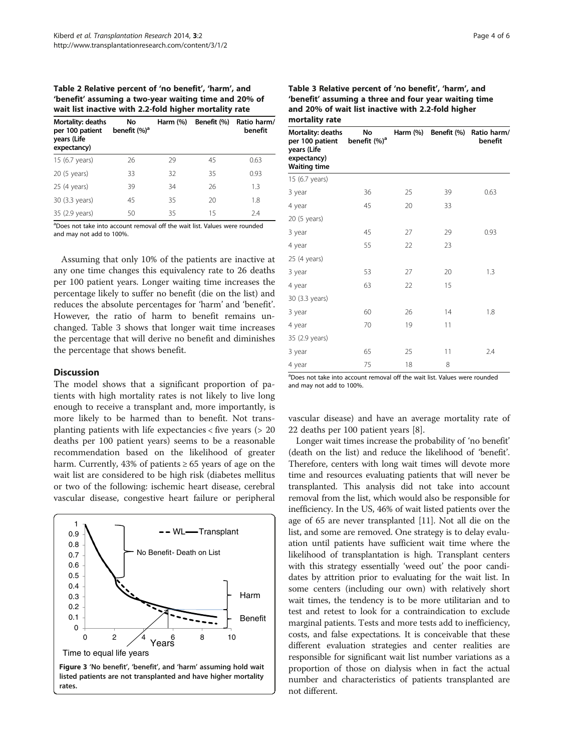<span id="page-3-0"></span>Table 2 Relative percent of 'no benefit', 'harm', and 'benefit' assuming a two-year waiting time and 20% of wait list inactive with 2.2-fold higher mortality rate

| Mortality: deaths<br>per 100 patient<br>years (Life<br>expectancy) | No<br>benefit (%) <sup>a</sup> | Harm $(\%)$ | Benefit (%) | Ratio harm/<br>benefit |
|--------------------------------------------------------------------|--------------------------------|-------------|-------------|------------------------|
| 15 (6.7 years)                                                     | 26                             | 29          | 45          | 0.63                   |
| 20 (5 years)                                                       | 33                             | 32          | 35          | 0.93                   |
| 25 (4 years)                                                       | 39                             | 34          | 26          | 1.3                    |
| 30 (3.3 years)                                                     | 45                             | 35          | 20          | 1.8                    |
| 35 (2.9 years)                                                     | 50                             | 35          | 15          | 2.4                    |

<sup>a</sup>Does not take into account removal off the wait list. Values were rounded and may not add to 100%.

Assuming that only 10% of the patients are inactive at any one time changes this equivalency rate to 26 deaths per 100 patient years. Longer waiting time increases the percentage likely to suffer no benefit (die on the list) and reduces the absolute percentages for 'harm' and 'benefit'. However, the ratio of harm to benefit remains unchanged. Table 3 shows that longer wait time increases the percentage that will derive no benefit and diminishes the percentage that shows benefit.

# **Discussion**

The model shows that a significant proportion of patients with high mortality rates is not likely to live long enough to receive a transplant and, more importantly, is more likely to be harmed than to benefit. Not transplanting patients with life expectancies < five years (> 20 deaths per 100 patient years) seems to be a reasonable recommendation based on the likelihood of greater harm. Currently, 43% of patients  $\geq 65$  years of age on the wait list are considered to be high risk (diabetes mellitus or two of the following: ischemic heart disease, cerebral vascular disease, congestive heart failure or peripheral



Figure 3 'No benefit', 'benefit', and 'harm' assuming hold wait listed patients are not transplanted and have higher mortality rates.

| mortality rate                                                                            |                                |          |             |                        |  |
|-------------------------------------------------------------------------------------------|--------------------------------|----------|-------------|------------------------|--|
| Mortality: deaths<br>per 100 patient<br>years (Life<br>expectancy)<br><b>Waiting time</b> | No<br>benefit (%) <sup>a</sup> | Harm (%) | Benefit (%) | Ratio harm/<br>benefit |  |
| 15 (6.7 years)                                                                            |                                |          |             |                        |  |
| 3 year                                                                                    | 36                             | 25       | 39          | 0.63                   |  |
| 4 year                                                                                    | 45                             | 20       | 33          |                        |  |
| 20 (5 years)                                                                              |                                |          |             |                        |  |
| 3 year                                                                                    | 45                             | 27       | 29          | 0.93                   |  |
| 4 year                                                                                    | 55                             | 22       | 23          |                        |  |
| 25 (4 years)                                                                              |                                |          |             |                        |  |
| 3 year                                                                                    | 53                             | 27       | 20          | 1.3                    |  |
| 4 year                                                                                    | 63                             | 22       | 15          |                        |  |
| 30 (3.3 years)                                                                            |                                |          |             |                        |  |
| 3 year                                                                                    | 60                             | 26       | 14          | 1.8                    |  |
| 4 year                                                                                    | 70                             | 19       | 11          |                        |  |
| 35 (2.9 years)                                                                            |                                |          |             |                        |  |
| 3 year                                                                                    | 65                             | 25       | 11          | 2.4                    |  |
| 4 year                                                                                    | 75                             | 18       | 8           |                        |  |

Table 3 Relative percent of 'no benefit', 'harm', and 'benefit' assuming a three and four year waiting time and 20% of wait list inactive with 2.2-fold higher mortality rate

<sup>a</sup>Does not take into account removal off the wait list. Values were rounded and may not add to 100%.

vascular disease) and have an average mortality rate of 22 deaths per 100 patient years [[8\]](#page-5-0).

Longer wait times increase the probability of 'no benefit' (death on the list) and reduce the likelihood of 'benefit'. Therefore, centers with long wait times will devote more time and resources evaluating patients that will never be transplanted. This analysis did not take into account removal from the list, which would also be responsible for inefficiency. In the US, 46% of wait listed patients over the age of 65 are never transplanted [\[11\]](#page-5-0). Not all die on the list, and some are removed. One strategy is to delay evaluation until patients have sufficient wait time where the likelihood of transplantation is high. Transplant centers with this strategy essentially 'weed out' the poor candidates by attrition prior to evaluating for the wait list. In some centers (including our own) with relatively short wait times, the tendency is to be more utilitarian and to test and retest to look for a contraindication to exclude marginal patients. Tests and more tests add to inefficiency, costs, and false expectations. It is conceivable that these different evaluation strategies and center realities are responsible for significant wait list number variations as a proportion of those on dialysis when in fact the actual number and characteristics of patients transplanted are not different.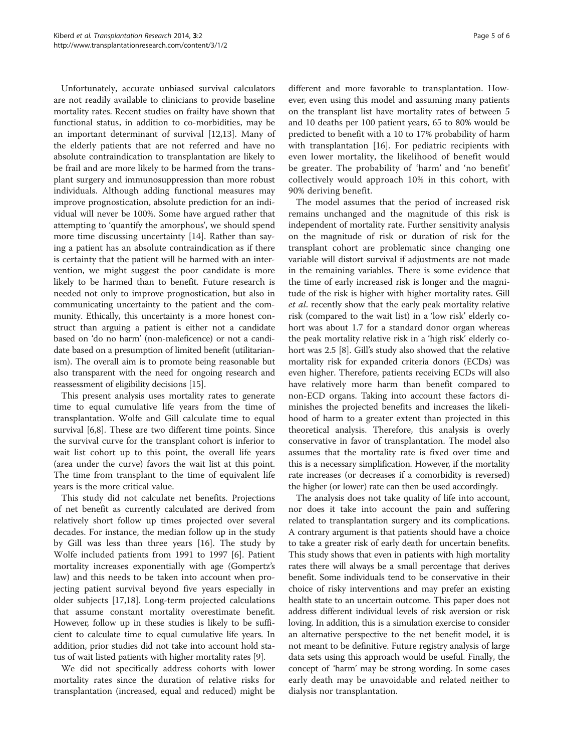Unfortunately, accurate unbiased survival calculators are not readily available to clinicians to provide baseline mortality rates. Recent studies on frailty have shown that functional status, in addition to co-morbidities, may be an important determinant of survival [\[12,13\]](#page-5-0). Many of the elderly patients that are not referred and have no absolute contraindication to transplantation are likely to be frail and are more likely to be harmed from the transplant surgery and immunosuppression than more robust individuals. Although adding functional measures may improve prognostication, absolute prediction for an individual will never be 100%. Some have argued rather that attempting to 'quantify the amorphous', we should spend more time discussing uncertainty [[14](#page-5-0)]. Rather than saying a patient has an absolute contraindication as if there is certainty that the patient will be harmed with an intervention, we might suggest the poor candidate is more likely to be harmed than to benefit. Future research is needed not only to improve prognostication, but also in communicating uncertainty to the patient and the community. Ethically, this uncertainty is a more honest construct than arguing a patient is either not a candidate based on 'do no harm' (non-maleficence) or not a candidate based on a presumption of limited benefit (utilitarianism). The overall aim is to promote being reasonable but also transparent with the need for ongoing research and reassessment of eligibility decisions [[15](#page-5-0)].

This present analysis uses mortality rates to generate time to equal cumulative life years from the time of transplantation. Wolfe and Gill calculate time to equal survival [[6,8\]](#page-5-0). These are two different time points. Since the survival curve for the transplant cohort is inferior to wait list cohort up to this point, the overall life years (area under the curve) favors the wait list at this point. The time from transplant to the time of equivalent life years is the more critical value.

This study did not calculate net benefits. Projections of net benefit as currently calculated are derived from relatively short follow up times projected over several decades. For instance, the median follow up in the study by Gill was less than three years [[16](#page-5-0)]. The study by Wolfe included patients from 1991 to 1997 [[6\]](#page-5-0). Patient mortality increases exponentially with age (Gompertz's law) and this needs to be taken into account when projecting patient survival beyond five years especially in older subjects [\[17,18](#page-5-0)]. Long-term projected calculations that assume constant mortality overestimate benefit. However, follow up in these studies is likely to be sufficient to calculate time to equal cumulative life years. In addition, prior studies did not take into account hold status of wait listed patients with higher mortality rates [\[9](#page-5-0)].

We did not specifically address cohorts with lower mortality rates since the duration of relative risks for transplantation (increased, equal and reduced) might be

different and more favorable to transplantation. However, even using this model and assuming many patients on the transplant list have mortality rates of between 5 and 10 deaths per 100 patient years, 65 to 80% would be predicted to benefit with a 10 to 17% probability of harm with transplantation [\[16\]](#page-5-0). For pediatric recipients with even lower mortality, the likelihood of benefit would be greater. The probability of 'harm' and 'no benefit' collectively would approach 10% in this cohort, with 90% deriving benefit.

The model assumes that the period of increased risk remains unchanged and the magnitude of this risk is independent of mortality rate. Further sensitivity analysis on the magnitude of risk or duration of risk for the transplant cohort are problematic since changing one variable will distort survival if adjustments are not made in the remaining variables. There is some evidence that the time of early increased risk is longer and the magnitude of the risk is higher with higher mortality rates. Gill et al. recently show that the early peak mortality relative risk (compared to the wait list) in a 'low risk' elderly cohort was about 1.7 for a standard donor organ whereas the peak mortality relative risk in a 'high risk' elderly cohort was 2.5 [[8\]](#page-5-0). Gill's study also showed that the relative mortality risk for expanded criteria donors (ECDs) was even higher. Therefore, patients receiving ECDs will also have relatively more harm than benefit compared to non-ECD organs. Taking into account these factors diminishes the projected benefits and increases the likelihood of harm to a greater extent than projected in this theoretical analysis. Therefore, this analysis is overly conservative in favor of transplantation. The model also assumes that the mortality rate is fixed over time and this is a necessary simplification. However, if the mortality rate increases (or decreases if a comorbidity is reversed) the higher (or lower) rate can then be used accordingly.

The analysis does not take quality of life into account, nor does it take into account the pain and suffering related to transplantation surgery and its complications. A contrary argument is that patients should have a choice to take a greater risk of early death for uncertain benefits. This study shows that even in patients with high mortality rates there will always be a small percentage that derives benefit. Some individuals tend to be conservative in their choice of risky interventions and may prefer an existing health state to an uncertain outcome. This paper does not address different individual levels of risk aversion or risk loving. In addition, this is a simulation exercise to consider an alternative perspective to the net benefit model, it is not meant to be definitive. Future registry analysis of large data sets using this approach would be useful. Finally, the concept of 'harm' may be strong wording. In some cases early death may be unavoidable and related neither to dialysis nor transplantation.